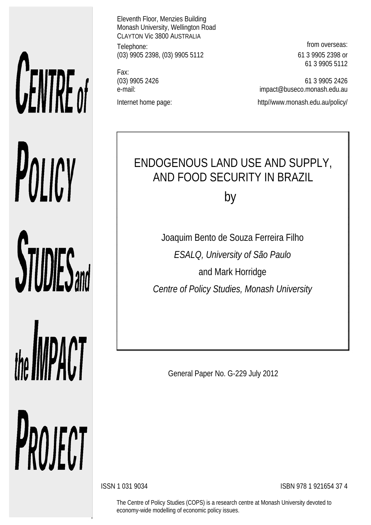# **CENTRE** of POLICY **STUDIES**

# the **IMPACT**

PROJECT

Eleventh Floor, Menzies Building Monash University, Wellington Road CLAYTON Vic 3800 AUSTRALIA Telephone: **from overseas:** (03) 9905 2398, (03) 9905 5112 61 3 9905 2398 or

Fax:

61 3 9905 5112

(03) 9905 2426 61 3 9905 2426 e-mail: impact@buseco.monash.edu.au Internet home page: http://www.monash.edu.au/policy/

# ENDOGENOUS LAND USE AND SUPPLY, AND FOOD SECURITY IN BRAZIL

by

Joaquim Bento de Souza Ferreira Filho *ESALQ, University of São Paulo* and Mark Horridge *Centre of Policy Studies, Monash University*

General Paper No. G-229 July 2012

ISSN 1 031 9034 ISBN 978 1 921654 37 4

The Centre of Policy Studies (COPS) is a research centre at Monash University devoted to economy-wide modelling of economic policy issues.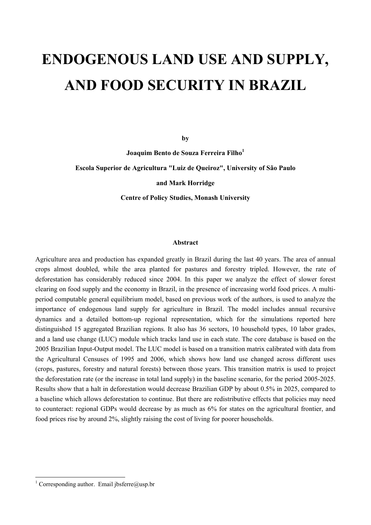## **ENDOGENOUS LAND USE AND SUPPLY, AND FOOD SECURITY IN BRAZIL**

**by**

**Joaquim Bento de Souza Ferreira Filho1**

**Escola Superior de Agricultura "Luiz de Queiroz", University of São Paulo**

**and Mark Horridge**

**Centre of Policy Studies, Monash University**

#### **Abstract**

Agriculture area and production has expanded greatly in Brazil during the last 40 years. The area of annual crops almost doubled, while the area planted for pastures and forestry tripled. However, the rate of deforestation has considerably reduced since 2004. In this paper we analyze the effect of slower forest clearing on food supply and the economy in Brazil, in the presence of increasing world food prices. A multiperiod computable general equilibrium model, based on previous work of the authors, is used to analyze the importance of endogenous land supply for agriculture in Brazil. The model includes annual recursive dynamics and a detailed bottom-up regional representation, which for the simulations reported here distinguished 15 aggregated Brazilian regions. It also has 36 sectors, 10 household types, 10 labor grades, and a land use change (LUC) module which tracks land use in each state. The core database is based on the 2005 Brazilian Input-Output model. The LUC model is based on a transition matrix calibrated with data from the Agricultural Censuses of 1995 and 2006, which shows how land use changed across different uses (crops, pastures, forestry and natural forests) between those years. This transition matrix is used to project the deforestation rate (or the increase in total land supply) in the baseline scenario, for the period 2005-2025. Results show that a halt in deforestation would decrease Brazilian GDP by about 0.5% in 2025, compared to a baseline which allows deforestation to continue. But there are redistributive effects that policies may need to counteract: regional GDPs would decrease by as much as 6% for states on the agricultural frontier, and food prices rise by around 2%, slightly raising the cost of living for poorer households.

<sup>&</sup>lt;sup>1</sup> Corresponding author. Email jbsferre@usp.br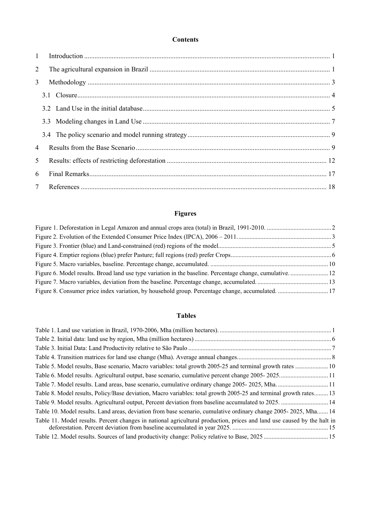#### **Contents**

| $\mathbf{1}$    |  |  |
|-----------------|--|--|
| $\overline{2}$  |  |  |
| 3               |  |  |
|                 |  |  |
|                 |  |  |
|                 |  |  |
|                 |  |  |
| $\overline{4}$  |  |  |
| 5 <sup>5</sup>  |  |  |
| 6               |  |  |
| $7\overline{ }$ |  |  |

#### **Figures**

| Figure 6. Model results. Broad land use type variation in the baseline. Percentage change, cumulative 12 |  |
|----------------------------------------------------------------------------------------------------------|--|
|                                                                                                          |  |
|                                                                                                          |  |

#### **Tables**

| Table 8. Model results, Policy/Base deviation, Macro variables: total growth 2005-25 and terminal growth rates 13       |  |
|-------------------------------------------------------------------------------------------------------------------------|--|
|                                                                                                                         |  |
| Table 10. Model results. Land areas, deviation from base scenario, cumulative ordinary change 2005-2025, Mha 14         |  |
| Table 11. Model results. Percent changes in national agricultural production, prices and land use caused by the halt in |  |
|                                                                                                                         |  |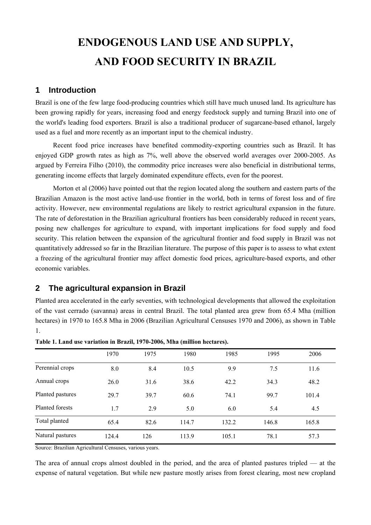### **ENDOGENOUS LAND USE AND SUPPLY, AND FOOD SECURITY IN BRAZIL**

#### **1 Introduction**

Brazil is one of the few large food-producing countries which still have much unused land. Its agriculture has been growing rapidly for years, increasing food and energy feedstock supply and turning Brazil into one of the world's leading food exporters. Brazil is also a traditional producer of sugarcane-based ethanol, largely used as a fuel and more recently as an important input to the chemical industry.

Recent food price increases have benefited commodity-exporting countries such as Brazil. It has enjoyed GDP growth rates as high as 7%, well above the observed world averages over 2000-2005. As argued by Ferreira Filho (2010), the commodity price increases were also beneficial in distributional terms, generating income effects that largely dominated expenditure effects, even for the poorest.

Morton et al (2006) have pointed out that the region located along the southern and eastern parts of the Brazilian Amazon is the most active land-use frontier in the world, both in terms of forest loss and of fire activity. However, new environmental regulations are likely to restrict agricultural expansion in the future. The rate of deforestation in the Brazilian agricultural frontiers has been considerably reduced in recent years, posing new challenges for agriculture to expand, with important implications for food supply and food security. This relation between the expansion of the agricultural frontier and food supply in Brazil was not quantitatively addressed so far in the Brazilian literature. The purpose of this paper is to assess to what extent a freezing of the agricultural frontier may affect domestic food prices, agriculture-based exports, and other economic variables.

#### **2 The agricultural expansion in Brazil**

Planted area accelerated in the early seventies, with technological developments that allowed the exploitation of the vast cerrado (savanna) areas in central Brazil. The total planted area grew from 65.4 Mha (million hectares) in 1970 to 165.8 Mha in 2006 (Brazilian Agricultural Censuses 1970 and 2006), as shown in Table 1.

|                        | 1970  | 1975 | 1980  | 1985  | 1995  | 2006  |
|------------------------|-------|------|-------|-------|-------|-------|
| Perennial crops        | 8.0   | 8.4  | 10.5  | 9.9   | 7.5   | 11.6  |
| Annual crops           | 26.0  | 31.6 | 38.6  | 42.2  | 34.3  | 48.2  |
| Planted pastures       | 29.7  | 39.7 | 60.6  | 74.1  | 99.7  | 101.4 |
| <b>Planted forests</b> | 1.7   | 2.9  | 5.0   | 6.0   | 5.4   | 4.5   |
| Total planted          | 65.4  | 82.6 | 114.7 | 132.2 | 146.8 | 165.8 |
| Natural pastures       | 124.4 | 126  | 113.9 | 105.1 | 78.1  | 57.3  |

**Table 1. Land use variation in Brazil, 1970-2006, Mha (million hectares).**

Source: Brazilian Agricultural Censuses, various years.

The area of annual crops almost doubled in the period, and the area of planted pastures tripled — at the expense of natural vegetation. But while new pasture mostly arises from forest clearing, most new cropland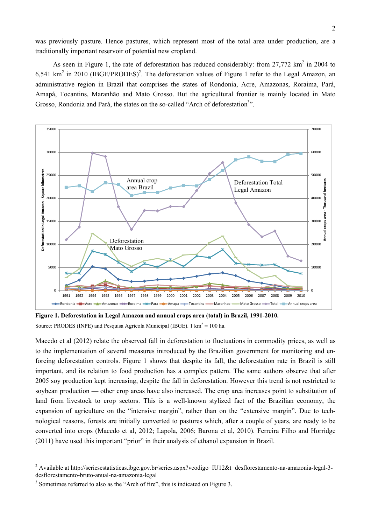was previously pasture. Hence pastures, which represent most of the total area under production, are a traditionally important reservoir of potential new cropland.

As seen in Figure 1, the rate of deforestation has reduced considerably: from  $27,772 \text{ km}^2$  in 2004 to 6,541 km<sup>2</sup> in 2010 (IBGE/PRODES)<sup>2</sup>. The deforestation values of Figure 1 refer to the Legal Amazon, an administrative region in Brazil that comprises the states of Rondonia, Acre, Amazonas, Roraima, Pará, Amapá, Tocantins, Maranhão and Mato Grosso. But the agricultural frontier is mainly located in Mato Grosso, Rondonia and Pará, the states on the so-called "Arch of deforestation<sup>3</sup>".



**Figure 1. Deforestation in Legal Amazon and annual crops area (total) in Brazil, 1991-2010.** Source: PRODES (INPE) and Pesquisa Agrícola Municipal (IBGE). 1 km<sup>2</sup> = 100 ha.

Macedo et al (2012) relate the observed fall in deforestation to fluctuations in commodity prices, as well as to the implementation of several measures introduced by the Brazilian government for monitoring and enforcing deforestation controls. Figure 1 shows that despite its fall, the deforestation rate in Brazil is still important, and its relation to food production has a complex pattern. The same authors observe that after 2005 soy production kept increasing, despite the fall in deforestation. However this trend is not restricted to soybean production — other crop areas have also increased. The crop area increases point to substitution of land from livestock to crop sectors. This is a well-known stylized fact of the Brazilian economy, the expansion of agriculture on the "intensive margin", rather than on the "extensive margin". Due to technological reasons, forests are initially converted to pastures which, after a couple of years, are ready to be converted into crops (Macedo et al, 2012; Lapola, 2006; Barona et al, 2010). Ferreira Filho and Horridge (2011) have used this important "prior" in their analysis of ethanol expansion in Brazil.

<sup>&</sup>lt;sup>2</sup> Available at http://seriesestatisticas.ibge.gov.br/series.aspx?vcodigo=IU12&t=desflorestamento-na-amazonia-legal-3desflorestamento-bruto-anual-na-amazonia-legal

<sup>&</sup>lt;sup>3</sup> Sometimes referred to also as the "Arch of fire", this is indicated on Figure 3.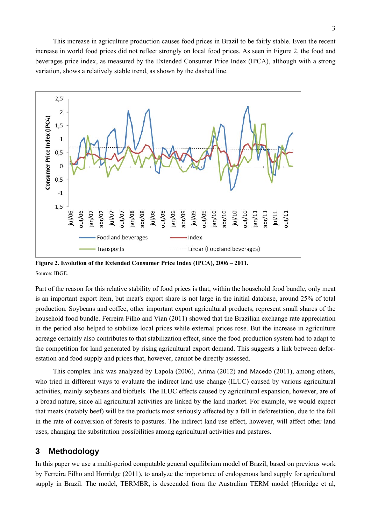This increase in agriculture production causes food prices in Brazil to be fairly stable. Even the recent increase in world food prices did not reflect strongly on local food prices. As seen in Figure 2, the food and beverages price index, as measured by the Extended Consumer Price Index (IPCA), although with a strong variation, shows a relatively stable trend, as shown by the dashed line.



**Figure 2. Evolution of the Extended Consumer Price Index (IPCA), 2006 – 2011.** Source: IBGE.

Part of the reason for this relative stability of food prices is that, within the household food bundle, only meat is an important export item, but meat's export share is not large in the initial database, around 25% of total production. Soybeans and coffee, other important export agricultural products, represent small shares of the household food bundle. Ferreira Filho and Vian (2011) showed that the Brazilian exchange rate appreciation in the period also helped to stabilize local prices while external prices rose. But the increase in agriculture acreage certainly also contributes to that stabilization effect, since the food production system had to adapt to the competition for land generated by rising agricultural export demand. This suggests a link between deforestation and food supply and prices that, however, cannot be directly assessed.

This complex link was analyzed by Lapola (2006), Arima (2012) and Macedo (2011), among others, who tried in different ways to evaluate the indirect land use change (ILUC) caused by various agricultural activities, mainly soybeans and biofuels. The ILUC effects caused by agricultural expansion, however, are of a broad nature, since all agricultural activities are linked by the land market. For example, we would expect that meats (notably beef) will be the products most seriously affected by a fall in deforestation, due to the fall in the rate of conversion of forests to pastures. The indirect land use effect, however, will affect other land uses, changing the substitution possibilities among agricultural activities and pastures.

#### **3 Methodology**

In this paper we use a multi-period computable general equilibrium model of Brazil, based on previous work by Ferreira Filho and Horridge (2011), to analyze the importance of endogenous land supply for agricultural supply in Brazil. The model, TERMBR, is descended from the Australian TERM model (Horridge et al,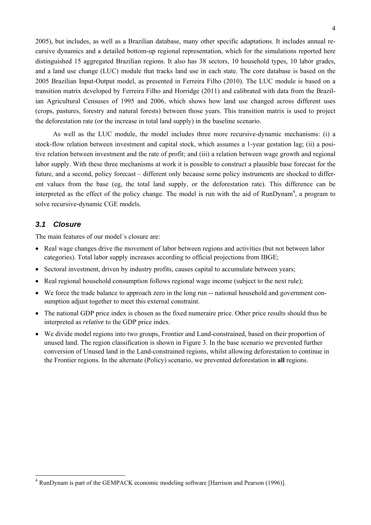2005), but includes, as well as a Brazilian database, many other specific adaptations. It includes annual recursive dynamics and a detailed bottom-up regional representation, which for the simulations reported here distinguished 15 aggregated Brazilian regions. It also has 38 sectors, 10 household types, 10 labor grades, and a land use change (LUC) module that tracks land use in each state. The core database is based on the 2005 Brazilian Input-Output model, as presented in Ferreira Filho (2010). The LUC module is based on a transition matrix developed by Ferreira Filho and Horridge (2011) and calibrated with data from the Brazilian Agricultural Censuses of 1995 and 2006, which shows how land use changed across different uses (crops, pastures, forestry and natural forests) between those years. This transition matrix is used to project the deforestation rate (or the increase in total land supply) in the baseline scenario.

As well as the LUC module, the model includes three more recursive-dynamic mechanisms: (i) a stock-flow relation between investment and capital stock, which assumes a 1-year gestation lag; (ii) a positive relation between investment and the rate of profit; and (iii) a relation between wage growth and regional labor supply. With these three mechanisms at work it is possible to construct a plausible base forecast for the future, and a second, policy forecast – different only because some policy instruments are shocked to different values from the base (eg, the total land supply, or the deforestation rate). This difference can be interpreted as the effect of the policy change. The model is run with the aid of RunDynam<sup>4</sup>, a program to solve recursive-dynamic CGE models.

#### *3.1 Closure*

l

The main features of our model´s closure are:

- Real wage changes drive the movement of labor between regions and activities (but not between labor categories). Total labor supply increases according to official projections from IBGE;
- Sectoral investment, driven by industry profits, causes capital to accumulate between years;
- Real regional household consumption follows regional wage income (subject to the next rule);
- We force the trade balance to approach zero in the long run -- national household and government consumption adjust together to meet this external constraint.
- The national GDP price index is chosen as the fixed numeraire price. Other price results should thus be interpreted as *relative* to the GDP price index.
- We divide model regions into two groups, Frontier and Land-constrained, based on their proportion of unused land. The region classification is shown in Figure 3. In the base scenario we prevented further conversion of Unused land in the Land-constrained regions, whilst allowing deforestation to continue in the Frontier regions. In the alternate (Policy) scenario, we prevented deforestation in **all** regions.

<sup>4</sup> RunDynam is part of the GEMPACK economic modeling software [Harrison and Pearson (1996)].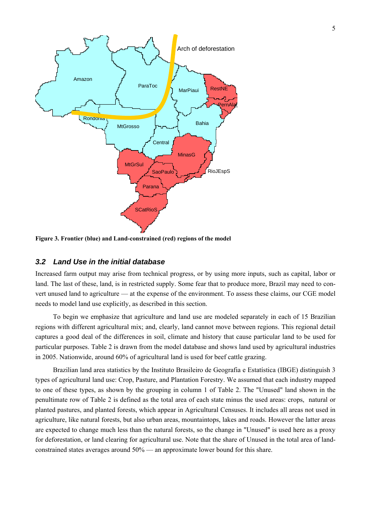

**Figure 3. Frontier (blue) and Land-constrained (red) regions of the model**

#### *3.2 Land Use in the initial database*

Increased farm output may arise from technical progress, or by using more inputs, such as capital, labor or land. The last of these, land, is in restricted supply. Some fear that to produce more, Brazil may need to convert unused land to agriculture — at the expense of the environment. To assess these claims, our CGE model needs to model land use explicitly, as described in this section.

To begin we emphasize that agriculture and land use are modeled separately in each of 15 Brazilian regions with different agricultural mix; and, clearly, land cannot move between regions. This regional detail captures a good deal of the differences in soil, climate and history that cause particular land to be used for particular purposes. Table 2 is drawn from the model database and shows land used by agricultural industries in 2005. Nationwide, around 60% of agricultural land is used for beef cattle grazing.

Brazilian land area statistics by the Instituto Brasileiro de Geografia e Estatística (IBGE) distinguish 3 types of agricultural land use: Crop, Pasture, and Plantation Forestry. We assumed that each industry mapped to one of these types, as shown by the grouping in column 1 of Table 2. The "Unused" land shown in the penultimate row of Table 2 is defined as the total area of each state minus the used areas: crops, natural or planted pastures, and planted forests, which appear in Agricultural Censuses. It includes all areas not used in agriculture, like natural forests, but also urban areas, mountaintops, lakes and roads. However the latter areas are expected to change much less than the natural forests, so the change in "Unused" is used here as a proxy for deforestation, or land clearing for agricultural use. Note that the share of Unused in the total area of landconstrained states averages around 50% — an approximate lower bound for this share.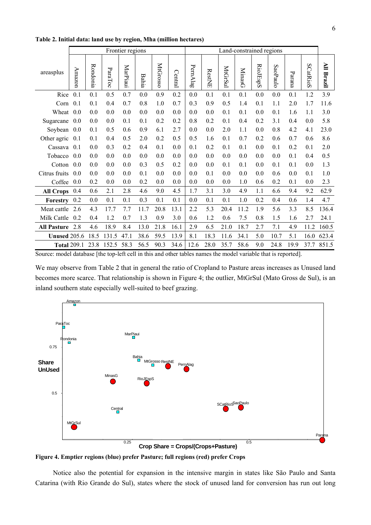|                     |        |          |         | Frontier regions |              |          |         | Land-constrained regions |               |         |               |          |          |                |          |                   |
|---------------------|--------|----------|---------|------------------|--------------|----------|---------|--------------------------|---------------|---------|---------------|----------|----------|----------------|----------|-------------------|
| areasplus           | Amazon | Rondonia | ParaToc | MarPiaui         | <b>Bahia</b> | MtGrosso | Central | PernAlag                 | <b>RestNE</b> | MtGrSul | <b>MinasG</b> | RioJEspS | SaoPaulo | $\rm {Parana}$ | SCatRioS | <b>All Brazil</b> |
| Rice                | 0.1    | 0.1      | 0.5     | 0.7              | 0.0          | 0.9      | 0.2     | 0.0                      | 0.1           | 0.1     | 0.1           | 0.0      | 0.0      | 0.1            | 1.2      | 3.9               |
| Corn                | 0.1    | 0.1      | 0.4     | 0.7              | 0.8          | 1.0      | 0.7     | 0.3                      | 0.9           | 0.5     | 1.4           | 0.1      | 1.1      | 2.0            | 1.7      | 11.6              |
| Wheat               | 0.0    | 0.0      | 0.0     | 0.0              | 0.0          | 0.0      | 0.0     | 0.0                      | 0.0           | 0.1     | 0.1           | 0.0      | 0.1      | 1.6            | 1.1      | 3.0               |
| Sugarcane           | 0.0    | 0.0      | 0.0     | 0.1              | 0.1          | 0.2      | 0.2     | 0.8                      | 0.2           | 0.1     | 0.4           | 0.2      | 3.1      | 0.4            | 0.0      | 5.8               |
| Soybean             | 0.0    | 0.1      | 0.5     | 0.6              | 0.9          | 6.1      | 2.7     | 0.0                      | 0.0           | 2.0     | 1.1           | 0.0      | 0.8      | 4.2            | 4.1      | 23.0              |
| Other agric         | 0.1    | 0.1      | 0.4     | 0.5              | 2.0          | 0.2      | 0.5     | 0.5                      | 1.6           | 0.1     | 0.7           | 0.2      | 0.6      | 0.7            | 0.6      | 8.6               |
| Cassava             | 0.1    | 0.0      | 0.3     | 0.2              | 0.4          | 0.1      | 0.0     | 0.1                      | 0.2           | 0.1     | 0.1           | 0.0      | 0.1      | 0.2            | 0.1      | 2.0               |
| Tobacco             | 0.0    | 0.0      | 0.0     | 0.0              | 0.0          | 0.0      | 0.0     | 0.0                      | 0.0           | 0.0     | 0.0           | 0.0      | $0.0\,$  | 0.1            | 0.4      | 0.5               |
| Cotton              | 0.0    | 0.0      | 0.0     | 0.0              | 0.3          | 0.5      | 0.2     | 0.0                      | 0.0           | 0.1     | 0.1           | 0.0      | 0.1      | 0.1            | 0.0      | 1.3               |
| Citrus fruits       | 0.0    | 0.0      | 0.0     | 0.0              | 0.1          | 0.0      | 0.0     | 0.0                      | 0.1           | 0.0     | 0.0           | 0.0      | 0.6      | 0.0            | 0.1      | 1.0               |
| Coffee              | 0.0    | 0.2      | 0.0     | 0.0              | 0.2          | 0.0      | 0.0     | 0.0                      | 0.0           | 0.0     | 1.0           | 0.6      | 0.2      | 0.1            | 0.0      | 2.3               |
| <b>All Crops</b>    | 0.4    | 0.6      | 2.1     | 2.8              | 4.6          | 9.0      | 4.5     | 1.7                      | 3.1           | 3.0     | 4.9           | 1.1      | 6.6      | 9.4            | 9.2      | 62.9              |
| Forestry            | 0.2    | 0.0      | 0.1     | 0.1              | 0.3          | 0.1      | 0.1     | 0.0                      | 0.1           | 0.1     | 1.0           | 0.2      | 0.4      | 0.6            | 1.4      | 4.7               |
| Meat cattle         | 2.6    | 4.3      | 17.7    | 7.7              | 11.7         | 20.8     | 13.1    | 2.2                      | 5.3           | 20.4    | 11.2          | 1.9      | 5.6      | 3.3            | 8.5      | 136.4             |
| Milk Cattle         | 0.2    | 0.4      | 1.2     | 0.7              | 1.3          | 0.9      | 3.0     | 0.6                      | 1.2           | 0.6     | 7.5           | 0.8      | 1.5      | 1.6            | 2.7      | 24.1              |
| <b>All Pasture</b>  | 2.8    | 4.6      | 18.9    | 8.4              | 13.0         | 21.8     | 16.1    | 2.9                      | 6.5           | 21.0    | 18.7          | 2.7      | 7.1      | 4.9            | 11.2     | 160.5             |
| <b>Unused 205.6</b> |        | 18.5     | 131.5   | 47.1             | 38.6         | 59.5     | 13.9    | 8.1                      | 18.3          | 11.6    | 34.1          | 5.0      | 10.7     | 5.1            | 16.0     | 623.4             |
| <b>Total 209.1</b>  |        | 23.8     | 152.5   | 58.3             | 56.5         | 90.3     | 34.6    | 12.6                     | 28.0          | 35.7    | 58.6          | 9.0      | 24.8     | 19.9           | 37.7     | 851.5             |

**Table 2. Initial data: land use by region, Mha (million hectares)**

Source: model database [the top-left cell in this and other tables names the model variable that is reported].

We may observe from Table 2 that in general the ratio of Cropland to Pasture areas increases as Unused land becomes more scarce. That relationship is shown in Figure 4; the outlier, MtGrSul (Mato Gross de Sul), is an inland southern state especially well-suited to beef grazing.



**Figure 4. Emptier regions (blue) prefer Pasture; full regions (red) prefer Crops**

Notice also the potential for expansion in the intensive margin in states like São Paulo and Santa Catarina (with Rio Grande do Sul), states where the stock of unused land for conversion has run out long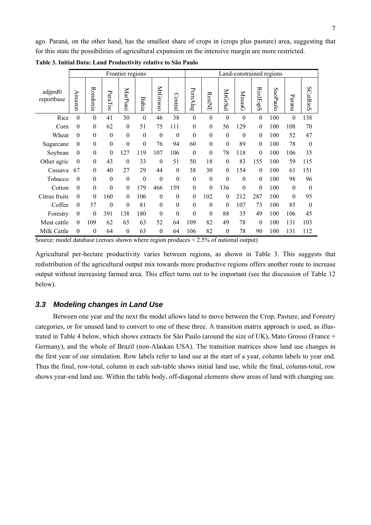ago. Paraná, on the other hand, has the smallest share of crops in (crops plus pasture) area, suggesting that for this state the possibilities of agricultural expansion on the intensive margin are more restricted.

|                       |                  |                  |                  | Frontier regions |                  |                  |                  | Land-constrained regions |                  |                  |                  |                  |          |                  |                  |  |
|-----------------------|------------------|------------------|------------------|------------------|------------------|------------------|------------------|--------------------------|------------------|------------------|------------------|------------------|----------|------------------|------------------|--|
| adjprd0<br>reportbase | Amazon           | Rondonia         | ParaToc          | MarPiaui         | Bahia            | MtGrosso         | Central          | PernAlag                 | RestNE           | MtGrSul          | <b>MinasG</b>    | RioJEspS         | SaoPaulc | Parana           | SCatRioS         |  |
| Rice                  | $\boldsymbol{0}$ | $\boldsymbol{0}$ | 41               | 30               | $\boldsymbol{0}$ | 46               | 38               | $\boldsymbol{0}$         | $\boldsymbol{0}$ | $\boldsymbol{0}$ | $\overline{0}$   | $\mathbf{0}$     | 100      | $\boldsymbol{0}$ | 138              |  |
| Corn                  | $\overline{0}$   | $\theta$         | 62               | $\boldsymbol{0}$ | 51               | 75               | 111              | $\boldsymbol{0}$         | $\boldsymbol{0}$ | 56               | 129              | $\overline{0}$   | 100      | 108              | 70               |  |
| Wheat                 | $\theta$         | $\boldsymbol{0}$ | $\boldsymbol{0}$ | $\boldsymbol{0}$ | $\boldsymbol{0}$ | $\boldsymbol{0}$ | $\boldsymbol{0}$ | $\boldsymbol{0}$         | $\boldsymbol{0}$ | $\boldsymbol{0}$ | $\theta$         | $\overline{0}$   | 100      | 52               | 47               |  |
| Sugarcane             | 0                | $\boldsymbol{0}$ | $\boldsymbol{0}$ | $\boldsymbol{0}$ | $\theta$         | 76               | 94               | 60                       | $\boldsymbol{0}$ | $\mathbf{0}$     | 89               | $\mathbf{0}$     | 100      | 78               | $\boldsymbol{0}$ |  |
| Soybean               | $\theta$         | $\boldsymbol{0}$ | $\mathbf{0}$     | 127              | 119              | 107              | 106              | $\theta$                 | $\mathbf{0}$     | 78               | 118              | $\overline{0}$   | 100      | 106              | 35               |  |
| Other agric           | $\theta$         | $\boldsymbol{0}$ | 43               | $\boldsymbol{0}$ | 33               | $\boldsymbol{0}$ | 51               | 50                       | 18               | $\boldsymbol{0}$ | 83               | 155              | 100      | 59               | 115              |  |
| Cassava               | 67               | $\Omega$         | 40               | 27               | 29               | 44               | $\theta$         | 38                       | 30               | $\mathbf{0}$     | 154              | $\mathbf{0}$     | 100      | 61               | 151              |  |
| Tobacco               | $\theta$         | $\theta$         | $\mathbf{0}$     | $\boldsymbol{0}$ | $\boldsymbol{0}$ | $\boldsymbol{0}$ | $\overline{0}$   | $\overline{0}$           | $\boldsymbol{0}$ | $\theta$         | $\theta$         | $\theta$         | 100      | 98               | 96               |  |
| Cotton                | $\theta$         | $\boldsymbol{0}$ | $\boldsymbol{0}$ | $\boldsymbol{0}$ | 179              | 466              | 159              | $\boldsymbol{0}$         | $\boldsymbol{0}$ | 136              | $\boldsymbol{0}$ | $\boldsymbol{0}$ | 100      | $\boldsymbol{0}$ | $\boldsymbol{0}$ |  |
| Citrus fruits         | $\theta$         | $\theta$         | 160              | $\boldsymbol{0}$ | 106              | $\theta$         | $\overline{0}$   | $\overline{0}$           | 102              | $\theta$         | 212              | 287              | 100      | $\boldsymbol{0}$ | 95               |  |
| Coffee                | $\theta$         | 37               | $\boldsymbol{0}$ | $\boldsymbol{0}$ | 81               | $\theta$         | $\theta$         | $\overline{0}$           | $\theta$         | $\theta$         | 107              | 73               | 100      | 85               | $\theta$         |  |
| Forestry              | $\mathbf{0}$     | $\boldsymbol{0}$ | 391              | 138              | 180              | $\theta$         | $\boldsymbol{0}$ | $\mathbf{0}$             | $\boldsymbol{0}$ | 88               | 35               | 49               | 100      | 106              | 45               |  |
| Meat cattle           | $\theta$         | 109              | 62               | 65               | 63               | 52               | 64               | 109                      | 82               | 49               | 78               | $\theta$         | 100      | 131              | 103              |  |
| Milk Cattle           | $\theta$         | $\theta$         | 64               | $\theta$         | 63               | $\overline{0}$   | 64               | 106                      | 82               | $\boldsymbol{0}$ | 78               | 90               | 100      | 131              | 112              |  |

**Table 3. Initial Data: Land Productivity relative to São Paulo**

Source: model database (zeroes shown where region produces < 2.5% of national output)

Agricultural per-hectare productivity varies between regions, as shown in Table 3. This suggests that redistribution of the agricultural output mix towards more productive regions offers another route to increase output without increasing farmed area. This effect turns out to be important (see the discussion of Table 12 below).

#### *3.3 Modeling changes in Land Use*

Between one year and the next the model allows land to move between the Crop, Pasture, and Forestry categories, or for unused land to convert to one of these three. A transition matrix approach is used, as illustrated in Table 4 below, which shows extracts for São Paulo (around the size of UK), Mato Grosso (France + Germany), and the whole of Brazil (non-Alaskan USA). The transition matrices show land use changes in the first year of our simulation. Row labels refer to land use at the start of a year, column labels to year end. Thus the final, row-total, column in each sub-table shows initial land use, while the final, column-total, row shows year-end land use. Within the table body, off-diagonal elements show areas of land with changing use.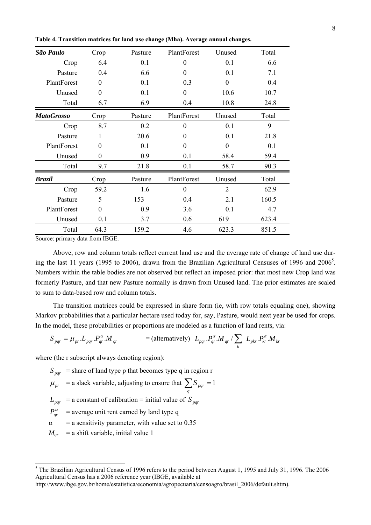| São Paulo         | Crop     | Pasture | PlantForest      | Unused           | Total |
|-------------------|----------|---------|------------------|------------------|-------|
| Crop              | 6.4      | 0.1     | $\theta$         | 0.1              | 6.6   |
| Pasture           | 0.4      | 6.6     | $\theta$         | 0.1              | 7.1   |
| PlantForest       | $\theta$ | 0.1     | 0.3              | $\boldsymbol{0}$ | 0.4   |
| Unused            | $\theta$ | 0.1     | $\boldsymbol{0}$ | 10.6             | 10.7  |
| Total             | 6.7      | 6.9     | 0.4              | 10.8             | 24.8  |
| <b>MatoGrosso</b> | Crop     | Pasture | PlantForest      | Unused           | Total |
| Crop              | 8.7      | 0.2     | $\theta$         | 0.1              | 9     |
| Pasture           | 1        | 20.6    | $\theta$         | 0.1              | 21.8  |
| PlantForest       | 0        | 0.1     | $\theta$         | $\boldsymbol{0}$ | 0.1   |
| Unused            | $\theta$ | 0.9     | 0.1              | 58.4             | 59.4  |
| Total             | 9.7      | 21.8    | 0.1              | 58.7             | 90.3  |
| <b>Brazil</b>     | Crop     | Pasture | PlantForest      | Unused           | Total |
| Crop              | 59.2     | 1.6     | $\theta$         | $\overline{2}$   | 62.9  |
| Pasture           | 5        | 153     | 0.4              | 2.1              | 160.5 |
| PlantForest       | $\theta$ | 0.9     | 3.6              | 0.1              | 4.7   |
| Unused            | 0.1      | 3.7     | 0.6              | 619              | 623.4 |
| Total             | 64.3     | 159.2   | 4.6              | 623.3            | 851.5 |

**Table 4. Transition matrices for land use change (Mha). Average annual changes.**

Source: primary data from IBGE.

Above, row and column totals reflect current land use and the average rate of change of land use during the last 11 years (1995 to 2006), drawn from the Brazilian Agricultural Censuses of 1996 and 2006<sup>5</sup>. Numbers within the table bodies are not observed but reflect an imposed prior: that most new Crop land was formerly Pasture, and that new Pasture normally is drawn from Unused land. The prior estimates are scaled to sum to data-based row and column totals.

The transition matrices could be expressed in share form (ie, with row totals equaling one), showing Markov probabilities that a particular hectare used today for, say, Pasture, would next year be used for crops. In the model, these probabilities or proportions are modeled as a function of land rents, via:

$$
S_{pqr} = \mu_{pr} L_{pqr} P_{qr}^{\alpha} M_{qr} \qquad \qquad = (\text{alternatively}) \quad L_{pqr} P_{qr}^{\alpha} M_{qr} / \sum_{k} L_{pkr} P_{kr}^{\alpha} M_{kr}
$$

where (the r subscript always denoting region):

 $S<sub>par</sub>$  = share of land type p that becomes type q in region r

- $\mu_{pr}$  = a slack variable, adjusting to ensure that  $\sum S_{pqr} = 1$ *q*
- $L_{par}$  = a constant of calibration = initial value of *S par*
- $P_{ar}^{\alpha}$  = average unit rent earned by land type q
- $\alpha$  = a sensitivity parameter, with value set to 0.35
- $M_{ar}$  = a shift variable, initial value 1

<sup>&</sup>lt;sup>5</sup> The Brazilian Agricultural Census of 1996 refers to the period between August 1, 1995 and July 31, 1996. The 2006 Agricultural Census has a 2006 reference year (IBGE, available at

http://www.ibge.gov.br/home/estatistica/economia/agropecuaria/censoagro/brasil\_2006/default.shtm).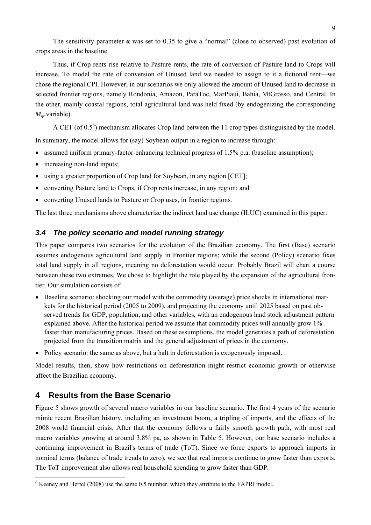The sensitivity parameter **α** was set to 0.35 to give a "normal" (close to observed) past evolution of crops areas in the baseline.

Thus, if Crop rents rise relative to Pasture rents, the rate of conversion of Pasture land to Crops will increase. To model the rate of conversion of Unused land we needed to assign to it a fictional rent—we chose the regional CPI. However, in our scenarios we only allowed the amount of Unused land to decrease in selected frontier regions, namely Rondonia, Amazon, ParaToc, MarPiaui, Bahia, MtGrosso, and Central. In the other, mainly coastal regions, total agricultural land was held fixed (by endogenizing the corresponding  $M_{\text{ar}}$  variable).

A CET (of  $0.5^6$ ) mechanism allocates Crop land between the 11 crop types distinguished by the model.

In summary, the model allows for (say) Soybean output in a region to increase through:

- assumed uniform primary-factor-enhancing technical progress of  $1.5\%$  p.a. (baseline assumption);
- increasing non-land inputs:
- using a greater proportion of Crop land for Soybean, in any region [CET];
- converting Pasture land to Crops, if Crop rents increase, in any region; and
- converting Unused lands to Pasture or Crop uses, in frontier regions.

The last three mechanisms above characterize the indirect land use change (ILUC) examined in this paper.

#### *3.4 The policy scenario and model running strategy*

This paper compares two scenarios for the evolution of the Brazilian economy. The first (Base) scenario assumes endogenous agricultural land supply in Frontier regions; while the second (Policy) scenario fixes total land supply in all regions, meaning no deforestation would occur. Probably Brazil will chart a course between these two extremes. We chose to highlight the role played by the expansion of the agricultural frontier. Our simulation consists of:

- Baseline scenario: shocking our model with the commodity (average) price shocks in international markets for the historical period (2005 to 2009), and projecting the economy until 2025 based on past observed trends for GDP, population, and other variables, with an endogenous land stock adjustment pattern explained above. After the historical period we assume that commodity prices will annually grow 1% faster than manufacturing prices. Based on these assumptions, the model generates a path of deforestation projected from the transition matrix and the general adjustment of prices in the economy.
- Policy scenario: the same as above, but a halt in deforestation is exogenously imposed.

Model results, then, show how restrictions on deforestation might restrict economic growth or otherwise affect the Brazilian economy.

#### **4 Results from the Base Scenario**

Figure 5 shows growth of several macro variables in our baseline scenario. The first 4 years of the scenario mimic recent Brazilian history, including an investment boom, a tripling of imports, and the effects of the 2008 world financial crisis. After that the economy follows a fairly smooth growth path, with most real macro variables growing at around 3.8% pa, as shown in Table 5. However, our base scenario includes a continuing improvement in Brazil's terms of trade (ToT). Since we force exports to approach imports in nominal terms (balance of trade trends to zero), we see that real imports continue to grow faster than exports. The ToT improvement also allows real household spending to grow faster than GDP.

 6 Keeney and Hertel (2008) use the same 0.5 number, which they attribute to the FAPRI model.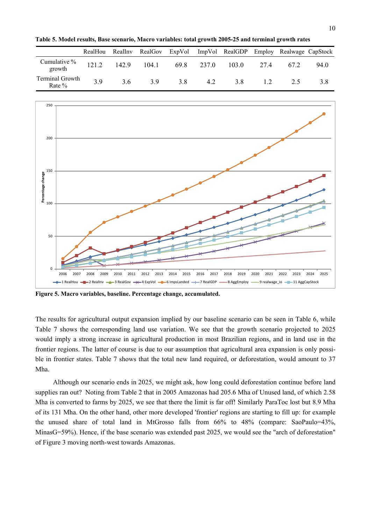**Table 5. Model results, Base scenario, Macro variables: total growth 2005-25 and terminal growth rates**

|                             | RealHou |       | RealInv RealGov | ExpVol |       | ImpVol RealGDP Employ Realwage CapStock |      |      |      |
|-----------------------------|---------|-------|-----------------|--------|-------|-----------------------------------------|------|------|------|
| Cumulative %<br>growth      | 121.2   | 142.9 | 104.1           | 69.8   | 237.0 | 103.0                                   | 27.4 | 67.2 | 94.0 |
| Terminal Growth<br>Rate $%$ | 3.9     | 3.6   | 39              | 3.8    | 4.2   | 3.8                                     |      | 25   | 3.8  |



**Figure 5. Macro variables, baseline. Percentage change, accumulated.**

The results for agricultural output expansion implied by our baseline scenario can be seen in Table 6, while Table 7 shows the corresponding land use variation. We see that the growth scenario projected to 2025 would imply a strong increase in agricultural production in most Brazilian regions, and in land use in the frontier regions. The latter of course is due to our assumption that agricultural area expansion is only possible in frontier states. Table 7 shows that the total new land required, or deforestation, would amount to 37 Mha.

Although our scenario ends in 2025, we might ask, how long could deforestation continue before land supplies ran out? Noting from Table 2 that in 2005 Amazonas had 205.6 Mha of Unused land, of which 2.58 Mha is converted to farms by 2025, we see that there the limit is far off! Similarly ParaToc lost but 8.9 Mha of its 131 Mha. On the other hand, other more developed 'frontier' regions are starting to fill up: for example the unused share of total land in MtGrosso falls from 66% to 48% (compare: SaoPaulo=43%, MinasG=59%). Hence, if the base scenario was extended past 2025, we would see the "arch of deforestation" of Figure 3 moving north-west towards Amazonas.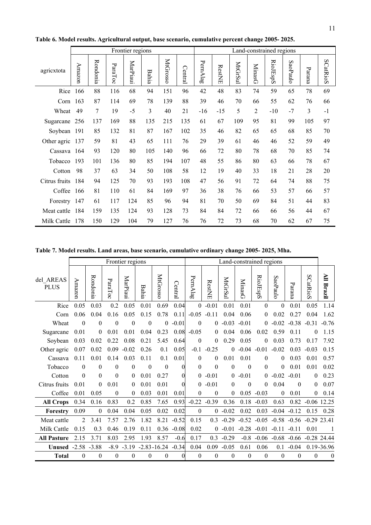|               |        |          |         | Frontier regions |              |                 |         | Land-constrained regions |               |         |                |                 |          |        |                 |  |
|---------------|--------|----------|---------|------------------|--------------|-----------------|---------|--------------------------|---------------|---------|----------------|-----------------|----------|--------|-----------------|--|
| agricxtota    | Amazon | Rondonia | ParaToc | MarPiaui         | <b>Bahia</b> | <b>MtGrosso</b> | Central | PernAlag                 | <b>RestNE</b> | MtGrSul | <b>MinasG</b>  | <b>RioJEspS</b> | SaoPaulo | Parana | <b>SCatRioS</b> |  |
| Rice          | 166    | 88       | 116     | 68               | 94           | 151             | 96      | 42                       | 48            | 83      | 74             | 59              | 65       | 78     | 69              |  |
| Corn          | 163    | 87       | 114     | 69               | 78           | 139             | 88      | 39                       | 46            | 70      | 66             | 55              | 62       | 76     | 66              |  |
| Wheat         | 49     | 7        | 19      | $-5$             | 3            | 40              | 21      | $-16$                    | $-15$         | 5       | $\overline{2}$ | $-10$           | $-7$     | 3      | $-1$            |  |
| Sugarcane     | 256    | 137      | 169     | 88               | 135          | 215             | 135     | 61                       | 67            | 109     | 95             | 81              | 99       | 105    | 97              |  |
| Soybean       | 191    | 85       | 132     | 81               | 87           | 167             | 102     | 35                       | 46            | 82      | 65             | 65              | 68       | 85     | 70              |  |
| Other agric   | 137    | 59       | 81      | 43               | 65           | 111             | 76      | 29                       | 39            | 61      | 46             | 46              | 52       | 59     | 49              |  |
| Cassava 164   |        | 93       | 120     | 80               | 105          | 140             | 96      | 66                       | 72            | 80      | 78             | 68              | 70       | 85     | 74              |  |
| Tobacco       | 193    | 101      | 136     | 80               | 85           | 194             | 107     | 48                       | 55            | 86      | 80             | 63              | 66       | 78     | 67              |  |
| Cotton        | 98     | 37       | 63      | 34               | 50           | 108             | 58      | 12                       | 19            | 40      | 33             | 18              | 21       | 28     | 20              |  |
| Citrus fruits | 184    | 94       | 125     | 70               | 93           | 193             | 108     | 47                       | 56            | 91      | 72             | 64              | 74       | 88     | 75              |  |
| Coffee        | 166    | 81       | 110     | 61               | 84           | 169             | 97      | 36                       | 38            | 76      | 66             | 53              | 57       | 66     | 57              |  |
| Forestry 147  |        | 61       | 117     | 124              | 85           | 96              | 94      | 81                       | 70            | 50      | 69             | 84              | 51       | 44     | 83              |  |
| Meat cattle   | 184    | 159      | 135     | 124              | 93           | 128             | 73      | 84                       | 84            | 72      | 66             | 66              | 56       | 44     | 67              |  |
| Milk Cattle   | 178    | 150      | 129     | 104              | 79           | 127             | 76      | 76                       | 72            | 73      | 68             | 70              | 62       | 67     | 75              |  |

**Table 6. Model results. Agricultural output, base scenario, cumulative percent change 2005- 2025.**

**Table 7. Model results. Land areas, base scenario, cumulative ordinary change 2005- 2025, Mha.**

|                          |                |                  |                  | Frontier regions |                  |                  |                | Land-constrained regions |                |                  |                  |                  |                |              |                       |              |
|--------------------------|----------------|------------------|------------------|------------------|------------------|------------------|----------------|--------------------------|----------------|------------------|------------------|------------------|----------------|--------------|-----------------------|--------------|
| del AREAS<br><b>PLUS</b> | Amazon         | Rondonia         | ParaToc          | MarPiaui         | Bahia            | MtGrosso         | Central        | PernAlag                 | <b>RestNE</b>  | MtGrSul          | MinasG           | RioJEspS         | SaoPaulc       | Parana       | SCatRioS              | All Brazil   |
| Rice                     | 0.05           | 0.03             | 0.2              | 0.05             | 0.01             | 0.69             | 0.04           | $\overline{0}$           | $-0.01$        | 0.01             | 0.01             | $\mathbf{0}$     | $\mathbf{0}$   | 0.01         | 0.05                  | 1.14         |
| Corn                     | 0.06           | 0.04             | 0.16             | 0.05             | 0.15             | 0.78             | 0.11           | $-0.05$                  | $-0.11$        | 0.04             | 0.06             | $\theta$         | 0.02           | 0.27         | 0.04                  | 1.62         |
| Wheat                    | $\theta$       | $\theta$         | $\theta$         | $\boldsymbol{0}$ | $\boldsymbol{0}$ | $\theta$         | $-0.01$        | $\theta$                 | $\theta$       | $-0.03$          | $-0.01$          | $\theta$         | $-0.02$        | $-0.38$      | $-0.31$               | $-0.76$      |
| Sugarcane                | 0.01           | 0                | 0.01             | 0.01             | 0.04             | 0.23             | 0.08           | $-0.05$                  | $\overline{0}$ | 0.04             | 0.06             | 0.02             | 0.59           | 0.11         | $\Omega$              | 1.15         |
| Sovbean                  | 0.03           | 0.02             | 0.22             | 0.08             | 0.21             | 5.45             | 0.64           | $\boldsymbol{0}$         | $\theta$       | 0.29             | 0.05             | $\boldsymbol{0}$ | 0.03           | 0.73         | 0.17                  | 7.92         |
| Other agric              | 0.07           | 0.02             | 0.09             | $-0.02$          | 0.26             | 0.1              | 0.05           | $-0.1$                   | $-0.25$        | $\mathbf{0}$     | $-0.04$          | $-0.01$          | $-0.02$        | 0.03         | $-0.03$               | 0.15         |
| Cassava                  | 0.11           | 0.01             | 0.14             | 0.03             | 0.11             | 0.1              | 0.01           | $\mathbf{0}$             | $\overline{0}$ | 0.01             | 0.01             | $\theta$         | 0              | 0.03         | 0.01                  | 0.57         |
| Tobacco                  | $\theta$       | $\theta$         | $\theta$         | $\theta$         | $\boldsymbol{0}$ | $\theta$         | $\theta$       | $\theta$                 | $\theta$       | $\theta$         | $\theta$         | $\theta$         | 0              | 0.01         | 0.01                  | 0.02         |
| Cotton                   | $\theta$       | $\theta$         | $\boldsymbol{0}$ | $\boldsymbol{0}$ | 0.01             | 0.27             | $\theta$       | $\overline{0}$           | $-0.01$        | $\theta$         | $-0.01$          | $\theta$         | $-0.02$        | $-0.01$      | $\theta$              | 0.23         |
| Citrus fruits            | 0.01           | $\theta$         | 0.01             | 0                | 0.01             | 0.01             | $\theta$       | $\theta$                 | $-0.01$        | $\theta$         | $\theta$         | $\theta$         | 0.04           | $\theta$     | 0                     | 0.07         |
| Coffee                   | 0.01           | 0.05             | $\theta$         | $\boldsymbol{0}$ | 0.03             | 0.01             | 0.01           | $\boldsymbol{0}$         | $\theta$       | 0                | 0.05             | $-0.03$          | $\theta$       | 0.01         | $\overline{0}$        | 0.14         |
| <b>All Crops</b>         | 0.34           | 0.16             | 0.83             | 0.2              | 0.85             | 7.65             | 0.93           | $-0.22$                  | $-0.39$        | 0.36             | 0.18             | $-0.03$          | 0.63           | 0.82         | $-0.06$ 12.25         |              |
| Forestry                 | 0.09           | $\boldsymbol{0}$ | 0.04             | 0.04             | 0.05             | 0.02             | 0.02           | $\boldsymbol{0}$         | $\overline{0}$ | $-0.02$          | 0.02             | 0.03             | $-0.04$        | $-0.12$      | 0.15                  | 0.28         |
| Meat cattle              | $\overline{2}$ | 3.41             | 7.57             | 2.76             | 1.82             | 8.21             | $-0.52$        | 0.15                     | 0.3            | $-0.29$          | $-0.52$          | $-0.05$          | $-0.58$        | $-0.56$      | $-0.29$ 23.41         |              |
| Milk Cattle              | 0.15           | 0.3              | 0.46             | 0.19             | 0.11             | 0.36             | $-0.08$        | 0.02                     | $\overline{0}$ | $-0.01$          |                  | $-0.28$ $-0.01$  | $-0.11$        | $-0.11$      | 0.01                  |              |
| <b>All Pasture</b>       | 2.15           | 3.71             | 8.03             | 2.95             | 1.93             | 8.57             | $-0.6$         | 0.17                     | 0.3            | $-0.29$          | $-0.8$           |                  | $-0.06 - 0.68$ |              | $-0.66$ $-0.28$ 24.44 |              |
| Unused                   | $-2.58$        | $-3.88$          | $-8.9$           | $-3.19$          |                  | $-2.83 - 16.24$  | $-0.34$        | 0.04                     | 0.09           | $-0.05$          | 0.61             | 0.06             | 0.1            | $-0.04$      |                       | 0.19-36.96   |
| Total                    | 0              | $\mathbf{0}$     | $\theta$         | $\theta$         | $\boldsymbol{0}$ | $\boldsymbol{0}$ | $\overline{0}$ | $\boldsymbol{0}$         | $\theta$       | $\boldsymbol{0}$ | $\boldsymbol{0}$ | $\theta$         | $\mathbf{0}$   | $\mathbf{0}$ | $\mathbf{0}$          | $\mathbf{0}$ |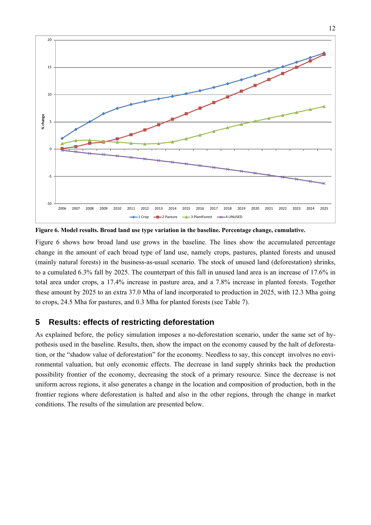

**Figure 6. Model results. Broad land use type variation in the baseline. Percentage change, cumulative.**

Figure 6 shows how broad land use grows in the baseline. The lines show the accumulated percentage change in the amount of each broad type of land use, namely crops, pastures, planted forests and unused (mainly natural forests) in the business-as-usual scenario. The stock of unused land (deforestation) shrinks, to a cumulated 6.3% fall by 2025. The counterpart of this fall in unused land area is an increase of 17.6% in total area under crops, a 17.4% increase in pasture area, and a 7.8% increase in planted forests. Together these amount by 2025 to an extra 37.0 Mha of land incorporated to production in 2025, with 12.3 Mha going to crops, 24.5 Mha for pastures, and 0.3 Mha for planted forests (see Table 7).

#### **5 Results: effects of restricting deforestation**

As explained before, the policy simulation imposes a no-deforestation scenario, under the same set of hypothesis used in the baseline. Results, then, show the impact on the economy caused by the halt of deforestation, or the "shadow value of deforestation" for the economy. Needless to say, this concept involves no environmental valuation, but only economic effects. The decrease in land supply shrinks back the production possibility frontier of the economy, decreasing the stock of a primary resource. Since the decrease is not uniform across regions, it also generates a change in the location and composition of production, both in the frontier regions where deforestation is halted and also in the other regions, through the change in market conditions. The results of the simulation are presented below.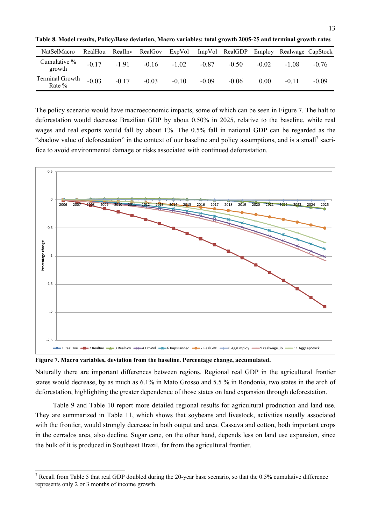**Table 8. Model results, Policy/Base deviation, Macro variables: total growth 2005-25 and terminal growth rates**

| NatSelMacro                 | RealHou | RealInv | RealGov | ExpVol  |         | ImpVol RealGDP |         | Employ Realwage CapStock |         |
|-----------------------------|---------|---------|---------|---------|---------|----------------|---------|--------------------------|---------|
| Cumulative %<br>growth      | $-0.17$ | $-1.91$ | $-0.16$ | $-1.02$ | $-0.87$ | $-0.50$        | $-0.02$ | $-1.08$                  | $-0.76$ |
| Terminal Growth<br>Rate $%$ | $-0.03$ | $-0.17$ | $-0.03$ | $-0.10$ | $-0.09$ | $-0.06$        | 0.00    | $-0.11$                  | $-0.09$ |

The policy scenario would have macroeconomic impacts, some of which can be seen in Figure 7. The halt to deforestation would decrease Brazilian GDP by about 0.50% in 2025, relative to the baseline, while real wages and real exports would fall by about 1%. The 0.5% fall in national GDP can be regarded as the "shadow value of deforestation" in the context of our baseline and policy assumptions, and is a small<sup>7</sup> sacrifice to avoid environmental damage or risks associated with continued deforestation.



**Figure 7. Macro variables, deviation from the baseline. Percentage change, accumulated.**

 $\overline{a}$ 

Naturally there are important differences between regions. Regional real GDP in the agricultural frontier states would decrease, by as much as 6.1% in Mato Grosso and 5.5 % in Rondonia, two states in the arch of deforestation, highlighting the greater dependence of those states on land expansion through deforestation.

Table 9 and Table 10 report more detailed regional results for agricultural production and land use. They are summarized in Table 11, which shows that soybeans and livestock, activities usually associated with the frontier, would strongly decrease in both output and area. Cassava and cotton, both important crops in the cerrados area, also decline. Sugar cane, on the other hand, depends less on land use expansion, since the bulk of it is produced in Southeast Brazil, far from the agricultural frontier.

<sup>&</sup>lt;sup>7</sup> Recall from Table 5 that real GDP doubled during the 20-year base scenario, so that the 0.5% cumulative difference represents only 2 or 3 months of income growth.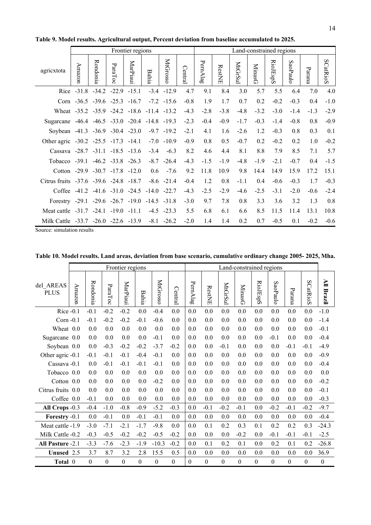|                                        |              |                                 |                         | Frontier regions |                                         |                 |         | Land-constrained regions |        |         |               |          |          |        |          |  |  |
|----------------------------------------|--------------|---------------------------------|-------------------------|------------------|-----------------------------------------|-----------------|---------|--------------------------|--------|---------|---------------|----------|----------|--------|----------|--|--|
| agricxtota                             | Amazon       | Rondonia                        | ParaToc                 | MarPiaui         | <b>Bahia</b>                            | MtGrossc        | Central | PernAlag                 | RestNE | MtGrSul | <b>MinasG</b> | RioJEspS | SaoPaulc | Parana | SCatRioS |  |  |
|                                        | Rice $-31.8$ |                                 | $-34.2 -22.9$           | $-15.1$          |                                         | $-3.4 -12.9$    | 4.7     | 9.1                      | 8.4    | 3.0     | 5.7           | 5.5      | 6.4      | 7.0    | 4.0      |  |  |
|                                        | Corn $-36.5$ |                                 | $-39.6$ $-25.3$         | $-16.7$          |                                         | $-7.2 - 15.6$   | $-0.8$  | 1.9                      | 1.7    | 0.7     | 0.2           | $-0.2$   | $-0.3$   | 0.4    | $-1.0$   |  |  |
| Wheat -35.2 -35.9                      |              |                                 |                         | $-24.2 -18.6$    | $-11.4$ $-13.2$                         |                 | $-4.3$  | $-2.8$                   | $-3.8$ | $-4.8$  | $-3.2$        | $-3.0$   | $-1.4$   | $-1.3$ | $-2.9$   |  |  |
| Sugarcane                              | -46.4        |                                 |                         |                  | $-46.5$ $-33.0$ $-20.4$ $-14.8$ $-19.3$ |                 | $-2.3$  | $-0.4$                   | $-0.9$ | $-1.7$  | $-0.3$        | $-1.4$   | $-0.8$   | 0.8    | $-0.9$   |  |  |
| Soybean                                |              | $-41.3$ $-36.9$ $-30.4$ $-23.0$ |                         |                  |                                         | $-9.7 - 19.2$   | $-2.1$  | 4.1                      | 1.6    | $-2.6$  | 1.2           | $-0.3$   | 0.8      | 0.3    | 0.1      |  |  |
| Other agric -30.2 -25.5 -17.3 -14.1    |              |                                 |                         |                  |                                         | $-7.0 - 10.9$   | $-0.9$  | 0.8                      | 0.5    | $-0.7$  | 0.2           | $-0.2$   | 0.2      | 1.0    | $-0.2$   |  |  |
| Cassava -28.7 -31.1 -18.5 -13.6        |              |                                 |                         |                  | $-3.4$                                  | $-6.3$          | 8.2     | 4.6                      | 4.4    | 8.1     | 8.8           | 7.9      | 8.5      | 7.1    | 5.7      |  |  |
| Tobacco $-39.1$                        |              |                                 | $-46.2$ $-33.8$ $-26.3$ |                  |                                         | $-8.7 -26.4$    | $-4.3$  | $-1.5$                   | $-1.9$ | $-4.8$  | $-1.9$        | $-2.1$   | $-0.7$   | 0.4    | $-1.5$   |  |  |
| Cotton $-29.9$ $-30.7$ $-17.8$ $-12.0$ |              |                                 |                         |                  | 0.6                                     | $-7.6$          | 9.2     | 11.8                     | 10.9   | 9.8     | 14.4          | 14.9     | 15.9     | 17.2   | 15.1     |  |  |
| Citrus fruits -37.6 -39.6 -24.8 -18.7  |              |                                 |                         |                  |                                         | $-8.6$ $-21.4$  | $-0.4$  | 1.2                      | 0.8    | $-1.1$  | 0.4           | $-0.6$   | $-0.3$   | 1.7    | $-0.3$   |  |  |
| Coffee                                 | $-41.2$      |                                 | $-41.6$ $-31.0$ $-24.5$ |                  |                                         | $-14.0$ $-22.7$ | $-4.3$  | $-2.5$                   | $-2.9$ | $-4.6$  | $-2.5$        | $-3.1$   | $-2.0$   | $-0.6$ | $-2.4$   |  |  |
| Forestry $-29.1$                       |              |                                 | $-29.6$ $-26.7$ $-19.0$ |                  |                                         | $-14.5 - 31.8$  | $-3.0$  | 9.7                      | 7.8    | 0.8     | 3.3           | 3.6      | 3.2      | 1.3    | 0.8      |  |  |
| Meat cattle -31.7                      |              | $-24.1$                         | $-19.0 -11.1$           |                  |                                         | $-4.5$ $-23.3$  | 5.5     | 6.8                      | 6.1    | 6.6     | 8.5           | 11.5     | 11.4     | 13.1   | 10.8     |  |  |
| Milk Cattle -33.7                      |              | $-26.0$                         |                         | $-22.6 -13.9$    | $-8.1$                                  | $-26.2$         | $-2.0$  | 1.4                      | 1.4    | 0.2     | 0.7           | $-0.5$   | 0.1      | $-0.2$ | $-0.6$   |  |  |

**Table 9. Model results. Agricultural output, Percent deviation from baseline accumulated to 2025.**

Source: simulation results

|                          | Frontier regions |                  |                  |                  |                  |                  | Land-constrained regions |                  |                  |                  |                  |                  |                  |                  |                  |                   |
|--------------------------|------------------|------------------|------------------|------------------|------------------|------------------|--------------------------|------------------|------------------|------------------|------------------|------------------|------------------|------------------|------------------|-------------------|
| del_AREAS<br><b>PLUS</b> | Amazon           | Rondonia         | ParaToc          | MarPiaui         | <b>Bahia</b>     | <b>MtGrosso</b>  | Central                  | PernAlag         | <b>RestNE</b>    | MtGrSul          | <b>MinasG</b>    | <b>RioJEspS</b>  | SaoPaulo         | Parana           | SCatRioS         | <b>All Brazil</b> |
| Rice $-0.1$              |                  | $-0.1$           | $-0.2$           | $-0.2$           | 0.0              | $-0.4$           | 0.0                      | 0.0              | 0.0              | 0.0              | 0.0              | 0.0              | 0.0              | 0.0              | 0.0              | $-1.0$            |
| Corn $-0.1$              |                  | $-0.1$           | $-0.2$           | $-0.2$           | $-0.1$           | $-0.6$           | 0.0                      | 0.0              | 0.0              | 0.0              | 0.0              | 0.0              | 0.0              | 0.0              | 0.0              | $-1.4$            |
| Wheat 0.0                |                  | 0.0              | 0.0              | 0.0              | 0.0              | 0.0              | 0.0                      | 0.0              | 0.0              | 0.0              | 0.0              | 0.0              | 0.0              | 0.0              | 0.0              | $-0.1$            |
| Sugarcane 0.0            |                  | 0.0              | 0.0              | 0.0              | 0.0              | $-0.1$           | 0.0                      | 0.0              | 0.0              | 0.0              | 0.0              | 0.0              | $-0.1$           | 0.0              | 0.0              | $-0.4$            |
| Soybean 0.0              |                  | 0.0              | $-0.3$           | $-0.2$           | $-0.2$           | $-3.7$           | $-0.2$                   | 0.0              | 0.0              | $-0.1$           | 0.0              | 0.0              | 0.0              | $-0.1$           | $-0.1$           | $-4.9$            |
| Other agric -0.1         |                  | $-0.1$           | $-0.1$           | $-0.1$           | $-0.4$           | $-0.1$           | 0.0                      | 0.0              | 0.0              | 0.0              | 0.0              | 0.0              | 0.0              | 0.0              | 0.0              | $-0.9$            |
| Cassava - 0.1            |                  | 0.0              | $-0.1$           | $-0.1$           | $-0.1$           | $-0.1$           | 0.0                      | 0.0              | 0.0              | 0.0              | 0.0              | 0.0              | 0.0              | 0.0              | 0.0              | $-0.4$            |
| Tobacco 0.0              |                  | 0.0              | 0.0              | 0.0              | 0.0              | 0.0              | 0.0                      | 0.0              | 0.0              | 0.0              | 0.0              | 0.0              | 0.0              | 0.0              | 0.0              | 0.0               |
| Cotton 0.0               |                  | 0.0              | 0.0              | 0.0              | 0.0              | $-0.2$           | 0.0                      | 0.0              | 0.0              | 0.0              | 0.0              | 0.0              | 0.0              | 0.0              | 0.0              | $-0.2$            |
| Citrus fruits 0.0        |                  | 0.0              | 0.0              | 0.0              | 0.0              | 0.0              | 0.0                      | 0.0              | 0.0              | 0.0              | 0.0              | 0.0              | 0.0              | 0.0              | 0.0              | $-0.1$            |
| Coffee 0.0               |                  | $-0.1$           | 0.0              | 0.0              | 0.0              | 0.0              | 0.0                      | 0.0              | 0.0              | 0.0              | 0.0              | 0.0              | 0.0              | 0.0              | 0.0              | $-0.3$            |
| All Crops -0.3           |                  | $-0.4$           | $-1.0$           | $-0.8$           | $-0.9$           | $-5.2$           | $-0.3$                   | 0.0              | $-0.1$           | $-0.2$           | $-0.1$           | 0.0              | $-0.2$           | $-0.1$           | $-0.2$           | $-9.7$            |
| Forestry -0.1            |                  | 0.0              | $-0.1$           | 0.0              | $-0.1$           | $-0.1$           | 0.0                      | 0.0              | 0.0              | 0.0              | 0.0              | 0.0              | 0.0              | 0.0              | 0.0              | $-0.4$            |
| Meat cattle -1.9         |                  | $-3.0$           | $-7.1$           | $-2.1$           | $-1.7$           | $-9.8$           | 0.0                      | 0.0              | 0.1              | 0.2              | 0.3              | 0.1              | 0.2              | 0.2              | 0.3              | $-24.3$           |
| Milk Cattle -0.2         |                  | $-0.3$           | $-0.5$           | $-0.2$           | $-0.2$           | $-0.5$           | $-0.2$                   | 0.0              | 0.0              | 0.0              | $-0.2$           | 0.0              | $-0.1$           | $-0.1$           | $-0.1$           | $-2.5$            |
| All Pasture -2.1         |                  | $-3.3$           | $-7.6$           | $-2.3$           | $-1.9$           | $-10.3$          | $-0.2$                   | 0.0              | 0.1              | 0.2              | 0.1              | 0.0              | 0.2              | 0.1              | 0.2              | $-26.8$           |
| Unused 2.5               |                  | 3.7              | 8.7              | 3.2              | 2.8              | 15.5             | 0.5                      | 0.0              | 0.0              | 0.0              | 0.0              | 0.0              | 0.0              | 0.0              | 0.0              | 36.9              |
| Total 0                  |                  | $\boldsymbol{0}$ | $\boldsymbol{0}$ | $\boldsymbol{0}$ | $\boldsymbol{0}$ | $\boldsymbol{0}$ | $\boldsymbol{0}$         | $\boldsymbol{0}$ | $\boldsymbol{0}$ | $\boldsymbol{0}$ | $\boldsymbol{0}$ | $\boldsymbol{0}$ | $\boldsymbol{0}$ | $\boldsymbol{0}$ | $\boldsymbol{0}$ | $\boldsymbol{0}$  |

**Table 10. Model results. Land areas, deviation from base scenario, cumulative ordinary change 2005- 2025, Mha.**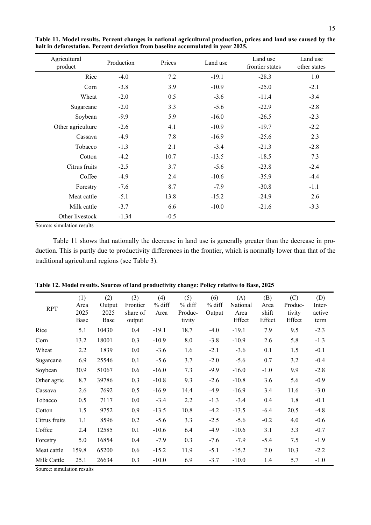| Production | Prices | Land use | Land use<br>frontier states | Land use<br>other states |  |
|------------|--------|----------|-----------------------------|--------------------------|--|
| $-4.0$     | 7.2    | $-19.1$  | $-28.3$                     | 1.0                      |  |
| $-3.8$     | 3.9    | $-10.9$  | $-25.0$                     | $-2.1$                   |  |
| $-2.0$     | 0.5    | $-3.6$   | $-11.4$                     | $-3.4$                   |  |
| $-2.0$     | 3.3    | $-5.6$   | $-22.9$                     | $-2.8$                   |  |
| $-9.9$     | 5.9    | $-16.0$  | $-26.5$                     | $-2.3$                   |  |
| $-2.6$     | 4.1    | $-10.9$  | $-19.7$                     | $-2.2$                   |  |
| $-4.9$     | 7.8    | $-16.9$  | $-25.6$                     | 2.3                      |  |
| $-1.3$     | 2.1    | $-3.4$   | $-21.3$                     | $-2.8$                   |  |
| $-4.2$     | 10.7   | $-13.5$  | $-18.5$                     | 7.3                      |  |
| $-2.5$     | 3.7    | $-5.6$   | $-23.8$                     | $-2.4$                   |  |
| $-4.9$     | 2.4    | $-10.6$  | $-35.9$                     | $-4.4$                   |  |
| $-7.6$     | 8.7    | $-7.9$   | $-30.8$                     | $-1.1$                   |  |
| $-5.1$     | 13.8   | $-15.2$  | $-24.9$                     | 2.6                      |  |
| $-3.7$     | 6.6    | $-10.0$  | $-21.6$                     | $-3.3$                   |  |
| $-1.34$    | $-0.5$ |          |                             |                          |  |
|            |        |          |                             |                          |  |

**Table 11. Model results. Percent changes in national agricultural production, prices and land use caused by the halt in deforestation. Percent deviation from baseline accumulated in year 2025.**

Source: simulation results

Table 11 shows that nationally the decrease in land use is generally greater than the decrease in production. This is partly due to productivity differences in the frontier, which is normally lower than that of the traditional agricultural regions (see Table 3).

| <b>RPT</b>    | (1)<br>Area<br>2025<br>Base | (2)<br>Output<br>2025<br>Base | (3)<br>Frontier<br>share of<br>output | (4)<br>$%$ diff<br>Area | (5)<br>$%$ diff<br>Produc-<br>tivity | (6)<br>$%$ diff<br>Output | (A)<br>National<br>Area<br>Effect | (B)<br>Area<br>shift<br>Effect | (C)<br>Produc-<br>tivity<br>Effect | (D)<br>Inter-<br>active<br>term |
|---------------|-----------------------------|-------------------------------|---------------------------------------|-------------------------|--------------------------------------|---------------------------|-----------------------------------|--------------------------------|------------------------------------|---------------------------------|
| Rice          | 5.1                         | 10430                         | 0.4                                   | $-19.1$                 | 18.7                                 | $-4.0$                    | $-19.1$                           | 7.9                            | 9.5                                | $-2.3$                          |
| Corn          | 13.2                        | 18001                         | 0.3                                   | $-10.9$                 | 8.0                                  | $-3.8$                    | $-10.9$                           | 2.6                            | 5.8                                | $-1.3$                          |
| Wheat         | 2.2                         | 1839                          | 0.0                                   | $-3.6$                  | 1.6                                  | $-2.1$                    | $-3.6$                            | 0.1                            | 1.5                                | $-0.1$                          |
| Sugarcane     | 6.9                         | 25546                         | 0.1                                   | $-5.6$                  | 3.7                                  | $-2.0$                    | $-5.6$                            | 0.7                            | 3.2                                | $-0.4$                          |
| Soybean       | 30.9                        | 51067                         | 0.6                                   | $-16.0$                 | 7.3                                  | $-9.9$                    | $-16.0$                           | $-1.0$                         | 9.9                                | $-2.8$                          |
| Other agric   | 8.7                         | 39786                         | 0.3                                   | $-10.8$                 | 9.3                                  | $-2.6$                    | $-10.8$                           | 3.6                            | 5.6                                | $-0.9$                          |
| Cassava       | 2.6                         | 7692                          | 0.5                                   | $-16.9$                 | 14.4                                 | $-4.9$                    | $-16.9$                           | 3.4                            | 11.6                               | $-3.0$                          |
| Tobacco       | 0.5                         | 7117                          | $0.0\,$                               | $-3.4$                  | 2.2                                  | $-1.3$                    | $-3.4$                            | 0.4                            | 1.8                                | $-0.1$                          |
| Cotton        | 1.5                         | 9752                          | 0.9                                   | $-13.5$                 | 10.8                                 | $-4.2$                    | $-13.5$                           | $-6.4$                         | 20.5                               | $-4.8$                          |
| Citrus fruits | 1.1                         | 8596                          | 0.2                                   | $-5.6$                  | 3.3                                  | $-2.5$                    | $-5.6$                            | $-0.2$                         | 4.0                                | $-0.6$                          |
| Coffee        | 2.4                         | 12585                         | 0.1                                   | $-10.6$                 | 6.4                                  | $-4.9$                    | $-10.6$                           | 3.1                            | 3.3                                | $-0.7$                          |
| Forestry      | 5.0                         | 16854                         | 0.4                                   | $-7.9$                  | 0.3                                  | $-7.6$                    | $-7.9$                            | $-5.4$                         | 7.5                                | $-1.9$                          |
| Meat cattle   | 159.8                       | 65200                         | 0.6                                   | $-15.2$                 | 11.9                                 | $-5.1$                    | $-15.2$                           | 2.0                            | 10.3                               | $-2.2$                          |
| Milk Cattle   | 25.1                        | 26634                         | 0.3                                   | $-10.0$                 | 6.9                                  | $-3.7$                    | $-10.0$                           | 1.4                            | 5.7                                | $-1.0$                          |

**Table 12. Model results. Sources of land productivity change: Policy relative to Base, 2025**

Source: simulation results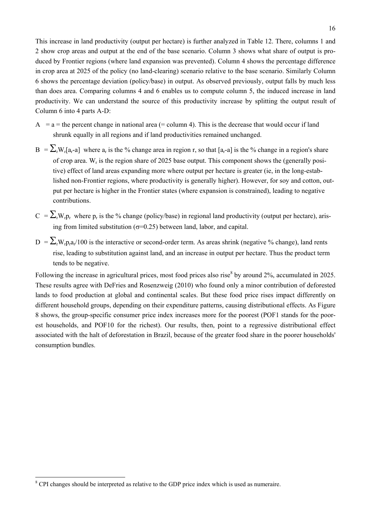This increase in land productivity (output per hectare) is further analyzed in Table 12. There, columns 1 and 2 show crop areas and output at the end of the base scenario. Column 3 shows what share of output is produced by Frontier regions (where land expansion was prevented). Column 4 shows the percentage difference in crop area at 2025 of the policy (no land-clearing) scenario relative to the base scenario. Similarly Column 6 shows the percentage deviation (policy/base) in output. As observed previously, output falls by much less than does area. Comparing columns 4 and 6 enables us to compute column 5, the induced increase in land productivity. We can understand the source of this productivity increase by splitting the output result of Column 6 into 4 parts A-D:

- $A = a$  = the percent change in national area (= column 4). This is the decrease that would occur if land shrunk equally in all regions and if land productivities remained unchanged.
- $B = \sum_{r} W_r[a_r-a]$  where  $a_r$  is the % change area in region r, so that  $[a_r-a]$  is the % change in a region's share of crop area.  $W_r$  is the region share of 2025 base output. This component shows the (generally positive) effect of land areas expanding more where output per hectare is greater (ie, in the long-established non-Frontier regions, where productivity is generally higher). However, for soy and cotton, output per hectare is higher in the Frontier states (where expansion is constrained), leading to negative contributions.
- $C = \sum_{r} W_{r} p_{r}$  where  $p_{r}$  is the % change (policy/base) in regional land productivity (output per hectare), arising from limited substitution ( $\sigma$ =0.25) between land, labor, and capital.
- $D = \sum_{r} W_{r} p_{r} a_{r}/100$  is the interactive or second-order term. As areas shrink (negative % change), land rents rise, leading to substitution against land, and an increase in output per hectare. Thus the product term tends to be negative.

Following the increase in agricultural prices, most food prices also rise<sup>8</sup> by around 2%, accumulated in 2025. These results agree with DeFries and Rosenzweig (2010) who found only a minor contribution of deforested lands to food production at global and continental scales. But these food price rises impact differently on different household groups, depending on their expenditure patterns, causing distributional effects. As Figure 8 shows, the group-specific consumer price index increases more for the poorest (POF1 stands for the poorest households, and POF10 for the richest). Our results, then, point to a regressive distributional effect associated with the halt of deforestation in Brazil, because of the greater food share in the poorer households' consumption bundles.

<sup>&</sup>lt;sup>8</sup> CPI changes should be interpreted as relative to the GDP price index which is used as numeraire.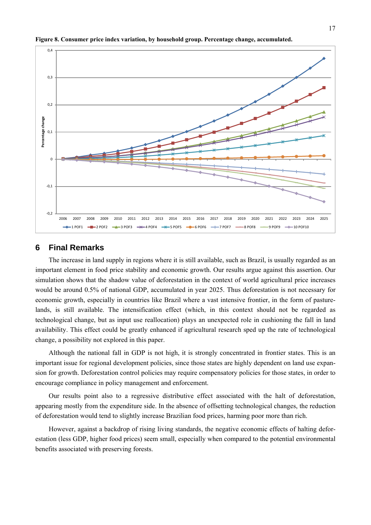

**Figure 8. Consumer price index variation, by household group. Percentage change, accumulated.**

#### **6 Final Remarks**

The increase in land supply in regions where it is still available, such as Brazil, is usually regarded as an important element in food price stability and economic growth. Our results argue against this assertion. Our simulation shows that the shadow value of deforestation in the context of world agricultural price increases would be around 0.5% of national GDP, accumulated in year 2025. Thus deforestation is not necessary for economic growth, especially in countries like Brazil where a vast intensive frontier, in the form of pasturelands, is still available. The intensification effect (which, in this context should not be regarded as technological change, but as input use reallocation) plays an unexpected role in cushioning the fall in land availability. This effect could be greatly enhanced if agricultural research sped up the rate of technological change, a possibility not explored in this paper.

Although the national fall in GDP is not high, it is strongly concentrated in frontier states. This is an important issue for regional development policies, since those states are highly dependent on land use expansion for growth. Deforestation control policies may require compensatory policies for those states, in order to encourage compliance in policy management and enforcement.

Our results point also to a regressive distributive effect associated with the halt of deforestation, appearing mostly from the expenditure side. In the absence of offsetting technological changes, the reduction of deforestation would tend to slightly increase Brazilian food prices, harming poor more than rich.

However, against a backdrop of rising living standards, the negative economic effects of halting deforestation (less GDP, higher food prices) seem small, especially when compared to the potential environmental benefits associated with preserving forests.